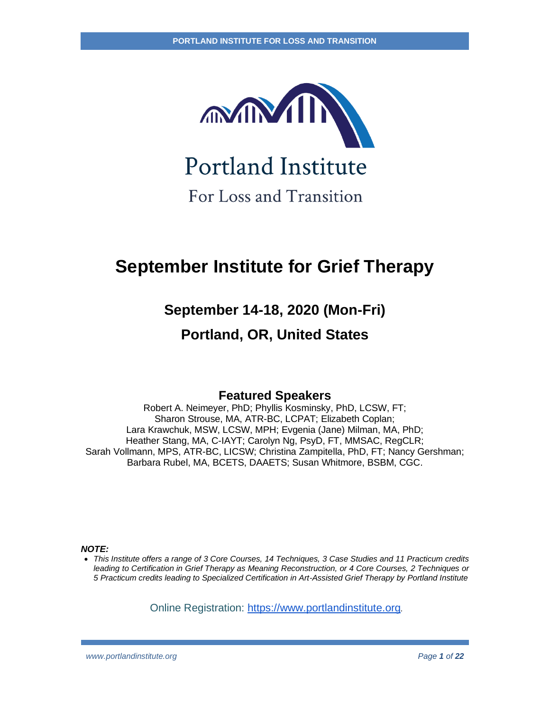

**Portland Institute** 

For Loss and Transition

# **September Institute for Grief Therapy**

## **September 14-18, 2020 (Mon-Fri)**

## **Portland, OR, United States**

### **Featured Speakers**

Robert A. Neimeyer, PhD; Phyllis Kosminsky, PhD, LCSW, FT; Sharon Strouse, MA, ATR-BC, LCPAT; Elizabeth Coplan; Lara Krawchuk, MSW, LCSW, MPH; Evgenia (Jane) Milman, MA, PhD; Heather Stang, MA, C-IAYT; Carolyn Ng, PsyD, FT, MMSAC, RegCLR; Sarah Vollmann, MPS, ATR-BC, LICSW; Christina Zampitella, PhD, FT; Nancy Gershman; Barbara Rubel, MA, BCETS, DAAETS; Susan Whitmore, BSBM, CGC.

*NOTE:*

• *This Institute offers a range of 3 Core Courses, 14 Techniques, 3 Case Studies and 11 Practicum credits leading to Certification in Grief Therapy as Meaning Reconstruction, or 4 Core Courses, 2 Techniques or 5 Practicum credits leading to Specialized Certification in Art-Assisted Grief Therapy by Portland Institute*

Online Registration: [https://www.portlandinstitute.org](https://www.portlandinstitute.org/shop/2019-summer-intense)*.*

*www.portlandinstitute.org Page 1 of 22*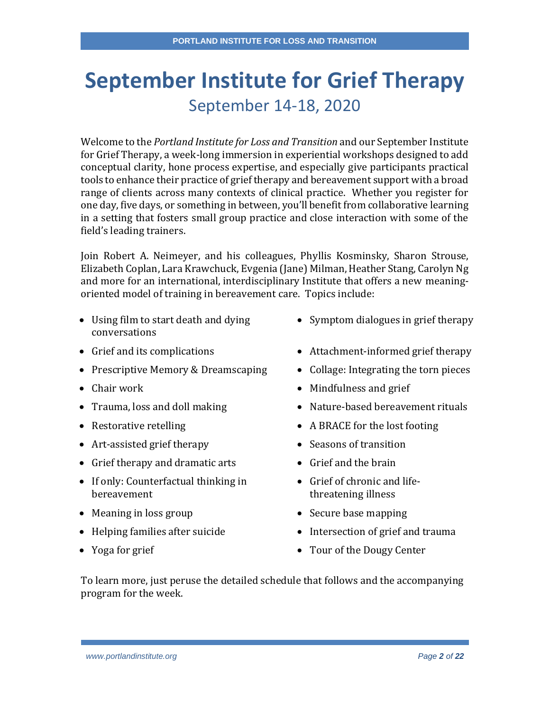# **September Institute for Grief Therapy** September 14-18, 2020

Welcome to the *Portland Institute for Loss and Transition* and our September Institute for Grief Therapy, a week-long immersion in experiential workshops designed to add conceptual clarity, hone process expertise, and especially give participants practical tools to enhance their practice of grief therapy and bereavement support with a broad range of clients across many contexts of clinical practice. Whether you register for one day, five days, or something in between, you'll benefit from collaborative learning in a setting that fosters small group practice and close interaction with some of the field's leading trainers.

Join Robert A. Neimeyer, and his colleagues, Phyllis Kosminsky, Sharon Strouse, Elizabeth Coplan, Lara Krawchuck, Evgenia (Jane) Milman, Heather Stang, Carolyn Ng and more for an international, interdisciplinary Institute that offers a new meaningoriented model of training in bereavement care. Topics include:

- Using film to start death and dying conversations
- 
- Prescriptive Memory & Dreamscaping Collage: Integrating the torn pieces
- 
- 
- 
- Art-assisted grief therapy **•** Seasons of transition
- Grief therapy and dramatic arts Grief and the brain
- If only: Counterfactual thinking in bereavement
- Meaning in loss group Secure base mapping
- 
- 
- Symptom dialogues in grief therapy
- Grief and its complications Attachment-informed grief therapy
	-
- Chair work Mindfulness and grief
- Trauma, loss and doll making Nature-based bereavement rituals
- Restorative retelling A BRACE for the lost footing
	-
	-
	- Grief of chronic and lifethreatening illness
	-
- Helping families after suicide Intersection of grief and trauma
- Yoga for grief Tour of the Dougy Center

To learn more, just peruse the detailed schedule that follows and the accompanying program for the week.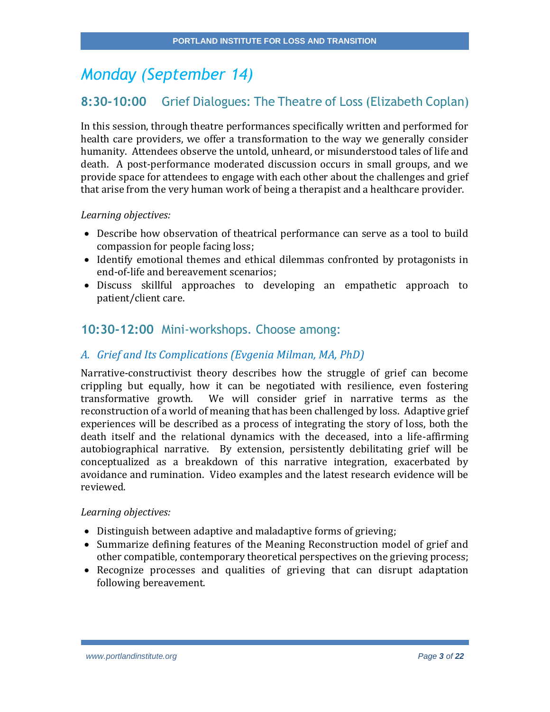# *Monday (September 14)*

## **8:30-10:00** Grief Dialogues: The Theatre of Loss (Elizabeth Coplan)

In this session, through theatre performances specifically written and performed for health care providers, we offer a transformation to the way we generally consider humanity. Attendees observe the untold, unheard, or misunderstood tales of life and death. A post-performance moderated discussion occurs in small groups, and we provide space for attendees to engage with each other about the challenges and grief that arise from the very human work of being a therapist and a healthcare provider.

*Learning objectives:*

- Describe how observation of theatrical performance can serve as a tool to build compassion for people facing loss;
- Identify emotional themes and ethical dilemmas confronted by protagonists in end-of-life and bereavement scenarios;
- Discuss skillful approaches to developing an empathetic approach to patient/client care.

## **10:30-12:00** Mini-workshops. Choose among:

### *A. Grief and Its Complications (Evgenia Milman, MA, PhD)*

Narrative-constructivist theory describes how the struggle of grief can become crippling but equally, how it can be negotiated with resilience, even fostering transformative growth. We will consider grief in narrative terms as the reconstruction of a world of meaning that has been challenged by loss. Adaptive grief experiences will be described as a process of integrating the story of loss, both the death itself and the relational dynamics with the deceased, into a life-affirming autobiographical narrative. By extension, persistently debilitating grief will be conceptualized as a breakdown of this narrative integration, exacerbated by avoidance and rumination. Video examples and the latest research evidence will be reviewed.

- Distinguish between adaptive and maladaptive forms of grieving;
- Summarize defining features of the Meaning Reconstruction model of grief and other compatible, contemporary theoretical perspectives on the grieving process;
- Recognize processes and qualities of grieving that can disrupt adaptation following bereavement.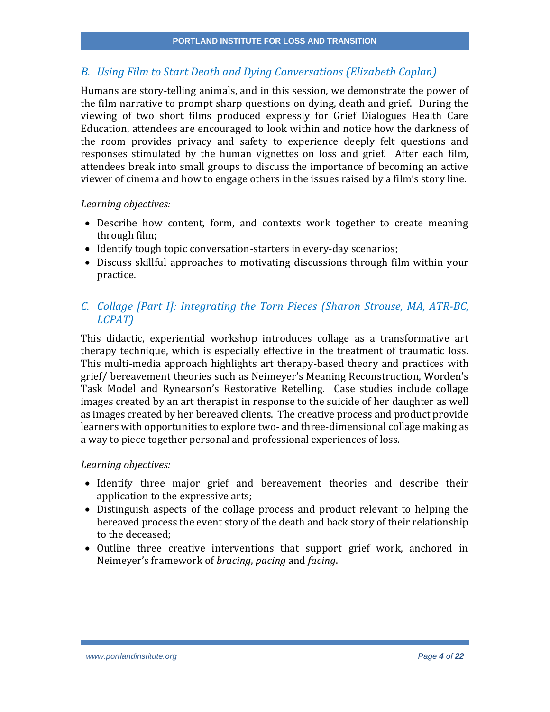## *B. Using Film to Start Death and Dying Conversations (Elizabeth Coplan)*

Humans are story-telling animals, and in this session, we demonstrate the power of the film narrative to prompt sharp questions on dying, death and grief. During the viewing of two short films produced expressly for Grief Dialogues Health Care Education, attendees are encouraged to look within and notice how the darkness of the room provides privacy and safety to experience deeply felt questions and responses stimulated by the human vignettes on loss and grief. After each film, attendees break into small groups to discuss the importance of becoming an active viewer of cinema and how to engage others in the issues raised by a film's story line.

#### *Learning objectives:*

- Describe how content, form, and contexts work together to create meaning through film;
- Identify tough topic conversation-starters in every-day scenarios;
- Discuss skillful approaches to motivating discussions through film within your practice.

## *C. Collage [Part I]: Integrating the Torn Pieces (Sharon Strouse, MA, ATR-BC, LCPAT)*

This didactic, experiential workshop introduces collage as a transformative art therapy technique, which is especially effective in the treatment of traumatic loss. This multi-media approach highlights art therapy-based theory and practices with grief/ bereavement theories such as Neimeyer's Meaning Reconstruction, Worden's Task Model and Rynearson's Restorative Retelling. Case studies include collage images created by an art therapist in response to the suicide of her daughter as well as images created by her bereaved clients. The creative process and product provide learners with opportunities to explore two- and three-dimensional collage making as a way to piece together personal and professional experiences of loss.

- Identify three major grief and bereavement theories and describe their application to the expressive arts;
- Distinguish aspects of the collage process and product relevant to helping the bereaved process the event story of the death and back story of their relationship to the deceased;
- Outline three creative interventions that support grief work, anchored in Neimeyer's framework of *bracing*, *pacing* and *facing*.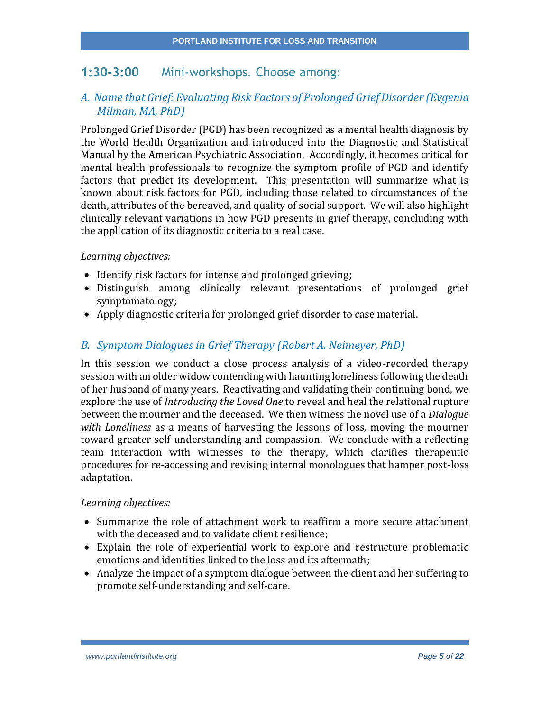## **1:30-3:00** Mini-workshops. Choose among:

### *A. Name that Grief: Evaluating Risk Factors of Prolonged Grief Disorder (Evgenia Milman, MA, PhD)*

Prolonged Grief Disorder (PGD) has been recognized as a mental health diagnosis by the World Health Organization and introduced into the Diagnostic and Statistical Manual by the American Psychiatric Association. Accordingly, it becomes critical for mental health professionals to recognize the symptom profile of PGD and identify factors that predict its development. This presentation will summarize what is known about risk factors for PGD, including those related to circumstances of the death, attributes of the bereaved, and quality of social support. We will also highlight clinically relevant variations in how PGD presents in grief therapy, concluding with the application of its diagnostic criteria to a real case.

#### *Learning objectives:*

- Identify risk factors for intense and prolonged grieving;
- Distinguish among clinically relevant presentations of prolonged grief symptomatology;
- Apply diagnostic criteria for prolonged grief disorder to case material.

#### *B. Symptom Dialogues in Grief Therapy (Robert A. Neimeyer, PhD)*

In this session we conduct a close process analysis of a video-recorded therapy session with an older widow contending with haunting loneliness following the death of her husband of many years. Reactivating and validating their continuing bond, we explore the use of *Introducing the Loved One* to reveal and heal the relational rupture between the mourner and the deceased. We then witness the novel use of a *Dialogue with Loneliness* as a means of harvesting the lessons of loss, moving the mourner toward greater self-understanding and compassion. We conclude with a reflecting team interaction with witnesses to the therapy, which clarifies therapeutic procedures for re-accessing and revising internal monologues that hamper post-loss adaptation.

- Summarize the role of attachment work to reaffirm a more secure attachment with the deceased and to validate client resilience;
- Explain the role of experiential work to explore and restructure problematic emotions and identities linked to the loss and its aftermath;
- Analyze the impact of a symptom dialogue between the client and her suffering to promote self-understanding and self-care.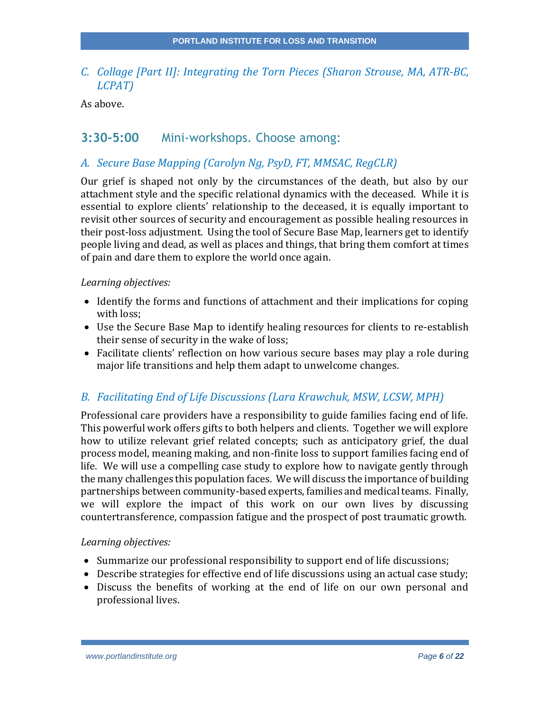## *C. Collage [Part II]: Integrating the Torn Pieces (Sharon Strouse, MA, ATR-BC, LCPAT)*

As above.

## **3:30-5:00** Mini-workshops. Choose among:

#### *A. Secure Base Mapping (Carolyn Ng, PsyD, FT, MMSAC, RegCLR)*

Our grief is shaped not only by the circumstances of the death, but also by our attachment style and the specific relational dynamics with the deceased. While it is essential to explore clients' relationship to the deceased, it is equally important to revisit other sources of security and encouragement as possible healing resources in their post-loss adjustment. Using the tool of Secure Base Map, learners get to identify people living and dead, as well as places and things, that bring them comfort at times of pain and dare them to explore the world once again.

#### *Learning objectives:*

- Identify the forms and functions of attachment and their implications for coping with loss;
- Use the Secure Base Map to identify healing resources for clients to re-establish their sense of security in the wake of loss;
- Facilitate clients' reflection on how various secure bases may play a role during major life transitions and help them adapt to unwelcome changes.

### *B. Facilitating End of Life Discussions (Lara Krawchuk, MSW, LCSW, MPH)*

Professional care providers have a responsibility to guide families facing end of life. This powerful work offers gifts to both helpers and clients. Together we will explore how to utilize relevant grief related concepts; such as anticipatory grief, the dual process model, meaning making, and non-finite loss to support families facing end of life. We will use a compelling case study to explore how to navigate gently through the many challenges this population faces. We will discuss the importance of building partnerships between community-based experts, families and medical teams. Finally, we will explore the impact of this work on our own lives by discussing countertransference, compassion fatigue and the prospect of post traumatic growth.

- Summarize our professional responsibility to support end of life discussions;
- Describe strategies for effective end of life discussions using an actual case study;
- Discuss the benefits of working at the end of life on our own personal and professional lives.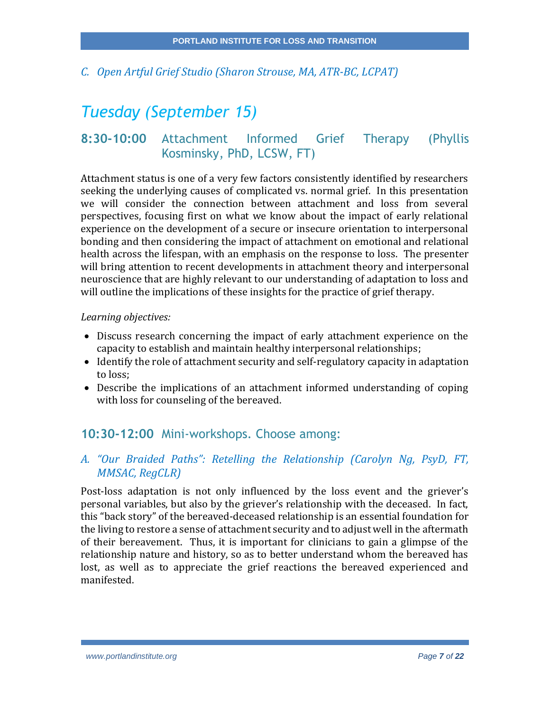*C. Open Artful Grief Studio (Sharon Strouse, MA, ATR-BC, LCPAT)*

# *Tuesday (September 15)*

## **8:30-10:00** Attachment Informed Grief Therapy (Phyllis Kosminsky, PhD, LCSW, FT)

Attachment status is one of a very few factors consistently identified by researchers seeking the underlying causes of complicated vs. normal grief. In this presentation we will consider the connection between attachment and loss from several perspectives, focusing first on what we know about the impact of early relational experience on the development of a secure or insecure orientation to interpersonal bonding and then considering the impact of attachment on emotional and relational health across the lifespan, with an emphasis on the response to loss. The presenter will bring attention to recent developments in attachment theory and interpersonal neuroscience that are highly relevant to our understanding of adaptation to loss and will outline the implications of these insights for the practice of grief therapy.

#### *Learning objectives:*

- Discuss research concerning the impact of early attachment experience on the capacity to establish and maintain healthy interpersonal relationships;
- Identify the role of attachment security and self-regulatory capacity in adaptation to loss;
- Describe the implications of an attachment informed understanding of coping with loss for counseling of the bereaved.

## **10:30-12:00** Mini-workshops. Choose among:

## *A. "Our Braided Paths": Retelling the Relationship (Carolyn Ng, PsyD, FT, MMSAC, RegCLR)*

Post-loss adaptation is not only influenced by the loss event and the griever's personal variables, but also by the griever's relationship with the deceased. In fact, this "back story" of the bereaved-deceased relationship is an essential foundation for the living to restore a sense of attachment security and to adjust well in the aftermath of their bereavement. Thus, it is important for clinicians to gain a glimpse of the relationship nature and history, so as to better understand whom the bereaved has lost, as well as to appreciate the grief reactions the bereaved experienced and manifested.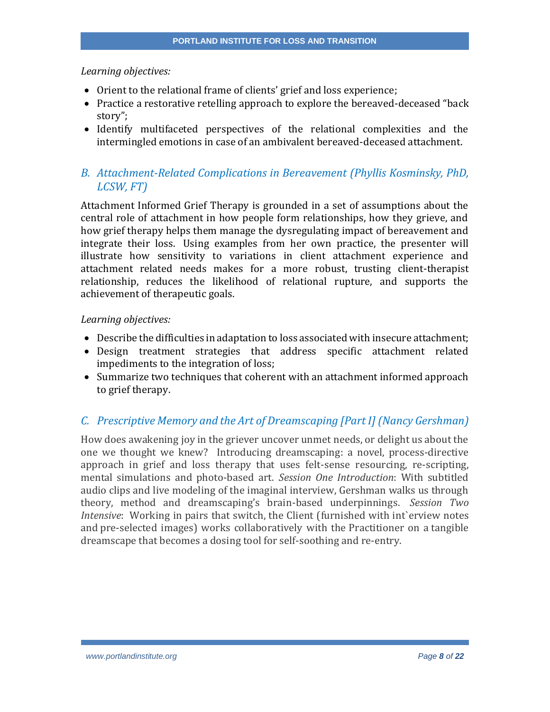- Orient to the relational frame of clients' grief and loss experience;
- Practice a restorative retelling approach to explore the bereaved-deceased "back story";
- Identify multifaceted perspectives of the relational complexities and the intermingled emotions in case of an ambivalent bereaved-deceased attachment.

## *B. Attachment-Related Complications in Bereavement (Phyllis Kosminsky, PhD, LCSW, FT)*

Attachment Informed Grief Therapy is grounded in a set of assumptions about the central role of attachment in how people form relationships, how they grieve, and how grief therapy helps them manage the dysregulating impact of bereavement and integrate their loss. Using examples from her own practice, the presenter will illustrate how sensitivity to variations in client attachment experience and attachment related needs makes for a more robust, trusting client-therapist relationship, reduces the likelihood of relational rupture, and supports the achievement of therapeutic goals.

#### *Learning objectives:*

- Describe the difficulties in adaptation to loss associated with insecure attachment;
- Design treatment strategies that address specific attachment related impediments to the integration of loss;
- Summarize two techniques that coherent with an attachment informed approach to grief therapy.

### *C. Prescriptive Memory and the Art of Dreamscaping [Part I] (Nancy Gershman)*

How does awakening joy in the griever uncover unmet needs, or delight us about the one we thought we knew? Introducing dreamscaping: a novel, process-directive approach in grief and loss therapy that uses felt-sense resourcing, re-scripting, mental simulations and photo-based art. *Session One Introduction*: With subtitled audio clips and live modeling of the imaginal interview, Gershman walks us through theory, method and dreamscaping's brain-based underpinnings. *Session Two Intensive*: Working in pairs that switch, the Client (furnished with int`erview notes and pre-selected images) works collaboratively with the Practitioner on a tangible dreamscape that becomes a dosing tool for self-soothing and re-entry.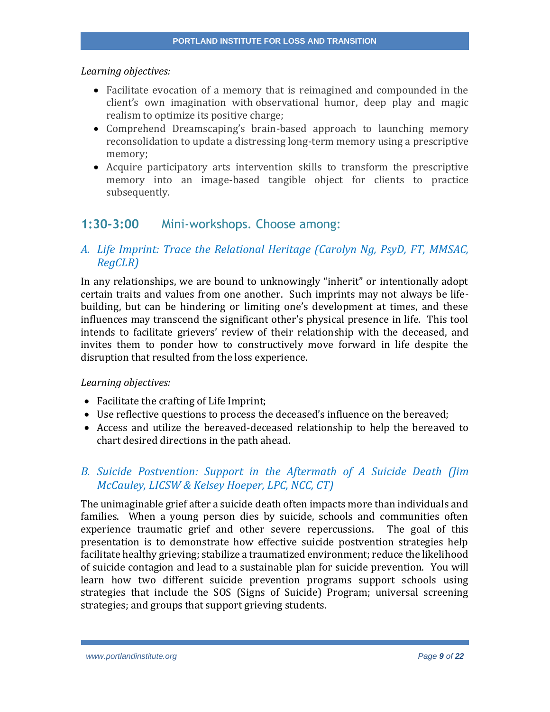- Facilitate evocation of a memory that is reimagined and compounded in the client's own imagination with observational humor, deep play and magic realism to optimize its positive charge;
- Comprehend Dreamscaping's brain-based approach to launching memory reconsolidation to update a distressing long-term memory using a prescriptive memory;
- Acquire participatory arts intervention skills to transform the prescriptive memory into an image-based tangible object for clients to practice subsequently.

## **1:30-3:00** Mini-workshops. Choose among:

## *A. Life Imprint: Trace the Relational Heritage (Carolyn Ng, PsyD, FT, MMSAC, RegCLR)*

In any relationships, we are bound to unknowingly "inherit" or intentionally adopt certain traits and values from one another. Such imprints may not always be lifebuilding, but can be hindering or limiting one's development at times, and these influences may transcend the significant other's physical presence in life. This tool intends to facilitate grievers' review of their relationship with the deceased, and invites them to ponder how to constructively move forward in life despite the disruption that resulted from the loss experience.

#### *Learning objectives:*

- Facilitate the crafting of Life Imprint;
- Use reflective questions to process the deceased's influence on the bereaved;
- Access and utilize the bereaved-deceased relationship to help the bereaved to chart desired directions in the path ahead.

### *B. Suicide Postvention: Support in the Aftermath of A Suicide Death (Jim McCauley, LICSW & Kelsey Hoeper, LPC, NCC, CT)*

The unimaginable grief after a suicide death often impacts more than individuals and families. When a young person dies by suicide, schools and communities often experience traumatic grief and other severe repercussions. The goal of this presentation is to demonstrate how effective suicide postvention strategies help facilitate healthy grieving; stabilize a traumatized environment; reduce the likelihood of suicide contagion and lead to a sustainable plan for suicide prevention. You will learn how two different suicide prevention programs support schools using strategies that include the SOS (Signs of Suicide) Program; universal screening strategies; and groups that support grieving students.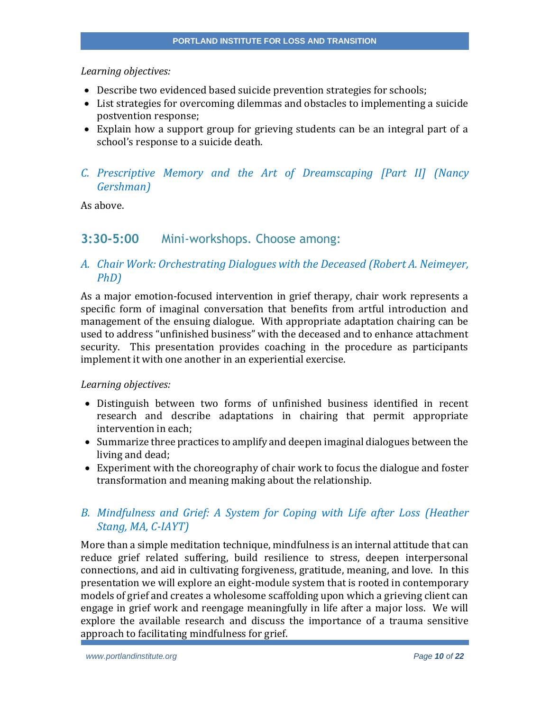- Describe two evidenced based suicide prevention strategies for schools;
- List strategies for overcoming dilemmas and obstacles to implementing a suicide postvention response;
- Explain how a support group for grieving students can be an integral part of a school's response to a suicide death.

## *C. Prescriptive Memory and the Art of Dreamscaping [Part II] (Nancy Gershman)*

As above.

## **3:30-5:00** Mini-workshops. Choose among:

## *A. Chair Work: Orchestrating Dialogues with the Deceased (Robert A. Neimeyer, PhD)*

As a major emotion-focused intervention in grief therapy, chair work represents a specific form of imaginal conversation that benefits from artful introduction and management of the ensuing dialogue. With appropriate adaptation chairing can be used to address "unfinished business" with the deceased and to enhance attachment security. This presentation provides coaching in the procedure as participants implement it with one another in an experiential exercise.

#### *Learning objectives:*

- Distinguish between two forms of unfinished business identified in recent research and describe adaptations in chairing that permit appropriate intervention in each;
- Summarize three practices to amplify and deepen imaginal dialogues between the living and dead;
- Experiment with the choreography of chair work to focus the dialogue and foster transformation and meaning making about the relationship.

## *B. Mindfulness and Grief: A System for Coping with Life after Loss (Heather Stang, MA, C-IAYT)*

More than a simple meditation technique, mindfulness is an internal attitude that can reduce grief related suffering, build resilience to stress, deepen interpersonal connections, and aid in cultivating forgiveness, gratitude, meaning, and love. In this presentation we will explore an eight-module system that is rooted in contemporary models of grief and creates a wholesome scaffolding upon which a grieving client can engage in grief work and reengage meaningfully in life after a major loss. We will explore the available research and discuss the importance of a trauma sensitive approach to facilitating mindfulness for grief.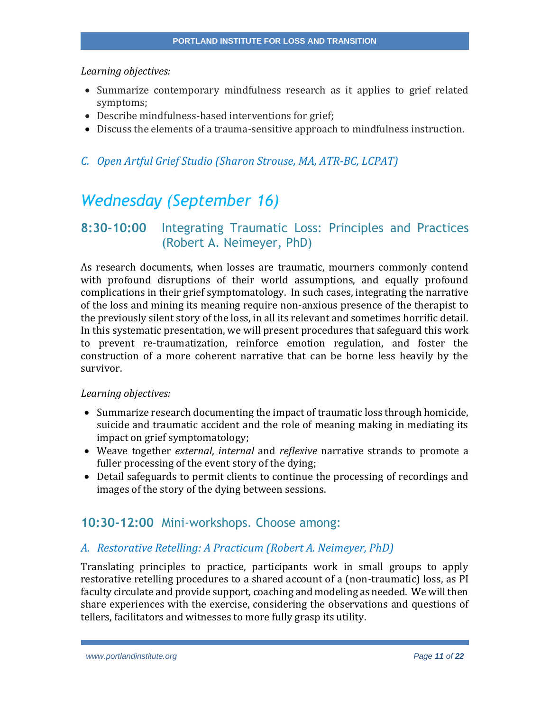- Summarize contemporary mindfulness research as it applies to grief related symptoms;
- Describe mindfulness-based interventions for grief;
- Discuss the elements of a trauma-sensitive approach to mindfulness instruction.

#### *C. Open Artful Grief Studio (Sharon Strouse, MA, ATR-BC, LCPAT)*

# *Wednesday (September 16)*

## **8:30-10:00** Integrating Traumatic Loss: Principles and Practices (Robert A. Neimeyer, PhD)

As research documents, when losses are traumatic, mourners commonly contend with profound disruptions of their world assumptions, and equally profound complications in their grief symptomatology. In such cases, integrating the narrative of the loss and mining its meaning require non-anxious presence of the therapist to the previously silent story of the loss, in all its relevant and sometimes horrific detail. In this systematic presentation, we will present procedures that safeguard this work to prevent re-traumatization, reinforce emotion regulation, and foster the construction of a more coherent narrative that can be borne less heavily by the survivor.

#### *Learning objectives:*

- Summarize research documenting the impact of traumatic loss through homicide, suicide and traumatic accident and the role of meaning making in mediating its impact on grief symptomatology;
- Weave together *external*, *internal* and *reflexive* narrative strands to promote a fuller processing of the event story of the dying;
- Detail safeguards to permit clients to continue the processing of recordings and images of the story of the dying between sessions.

## **10:30-12:00** Mini-workshops. Choose among:

#### *A. Restorative Retelling: A Practicum (Robert A. Neimeyer, PhD)*

Translating principles to practice, participants work in small groups to apply restorative retelling procedures to a shared account of a (non-traumatic) loss, as PI faculty circulate and provide support, coaching and modeling as needed. We will then share experiences with the exercise, considering the observations and questions of tellers, facilitators and witnesses to more fully grasp its utility.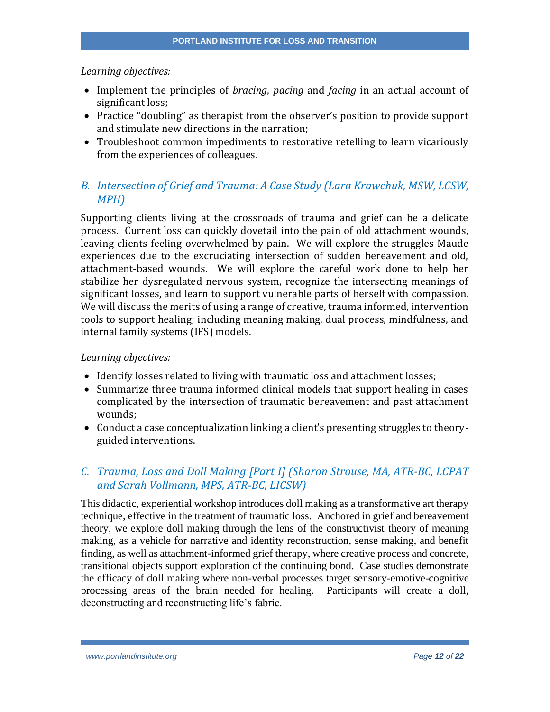- Implement the principles of *bracing*, *pacing* and *facing* in an actual account of significant loss;
- Practice "doubling" as therapist from the observer's position to provide support and stimulate new directions in the narration;
- Troubleshoot common impediments to restorative retelling to learn vicariously from the experiences of colleagues.

## *B. Intersection of Grief and Trauma: A Case Study (Lara Krawchuk, MSW, LCSW, MPH)*

Supporting clients living at the crossroads of trauma and grief can be a delicate process. Current loss can quickly dovetail into the pain of old attachment wounds, leaving clients feeling overwhelmed by pain. We will explore the struggles Maude experiences due to the excruciating intersection of sudden bereavement and old, attachment-based wounds. We will explore the careful work done to help her stabilize her dysregulated nervous system, recognize the intersecting meanings of significant losses, and learn to support vulnerable parts of herself with compassion. We will discuss the merits of using a range of creative, trauma informed, intervention tools to support healing; including meaning making, dual process, mindfulness, and internal family systems (IFS) models.

#### *Learning objectives:*

- Identify losses related to living with traumatic loss and attachment losses;
- Summarize three trauma informed clinical models that support healing in cases complicated by the intersection of traumatic bereavement and past attachment wounds;
- Conduct a case conceptualization linking a client's presenting struggles to theoryguided interventions.

## *C. Trauma, Loss and Doll Making [Part I] (Sharon Strouse, MA, ATR-BC, LCPAT and Sarah Vollmann, MPS, ATR-BC, LICSW)*

This didactic, experiential workshop introduces doll making as a transformative art therapy technique, effective in the treatment of traumatic loss. Anchored in grief and bereavement theory, we explore doll making through the lens of the constructivist theory of meaning making, as a vehicle for narrative and identity reconstruction, sense making, and benefit finding, as well as attachment-informed grief therapy, where creative process and concrete, transitional objects support exploration of the continuing bond. Case studies demonstrate the efficacy of doll making where non-verbal processes target sensory-emotive-cognitive processing areas of the brain needed for healing. Participants will create a doll, deconstructing and reconstructing life's fabric.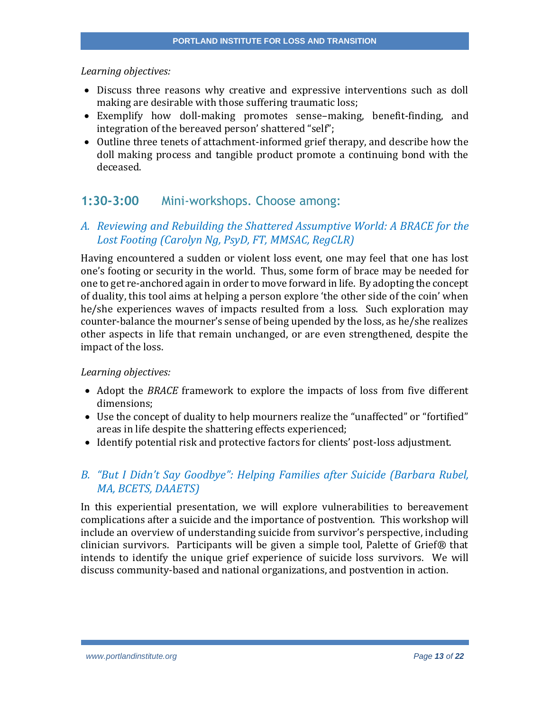- Discuss three reasons why creative and expressive interventions such as doll making are desirable with those suffering traumatic loss;
- Exemplify how doll-making promotes sense–making, benefit-finding, and integration of the bereaved person' shattered "self";
- Outline three tenets of attachment-informed grief therapy, and describe how the doll making process and tangible product promote a continuing bond with the deceased.

## **1:30-3:00** Mini-workshops. Choose among:

## *A. Reviewing and Rebuilding the Shattered Assumptive World: A BRACE for the Lost Footing (Carolyn Ng, PsyD, FT, MMSAC, RegCLR)*

Having encountered a sudden or violent loss event, one may feel that one has lost one's footing or security in the world. Thus, some form of brace may be needed for one to get re-anchored again in order to move forward in life. By adopting the concept of duality, this tool aims at helping a person explore 'the other side of the coin' when he/she experiences waves of impacts resulted from a loss. Such exploration may counter-balance the mourner's sense of being upended by the loss, as he/she realizes other aspects in life that remain unchanged, or are even strengthened, despite the impact of the loss.

#### *Learning objectives:*

- Adopt the *BRACE* framework to explore the impacts of loss from five different dimensions;
- Use the concept of duality to help mourners realize the "unaffected" or "fortified" areas in life despite the shattering effects experienced;
- Identify potential risk and protective factors for clients' post-loss adjustment.

## *B. "But I Didn't Say Goodbye": Helping Families after Suicide (Barbara Rubel, MA, BCETS, DAAETS)*

In this experiential presentation, we will explore vulnerabilities to bereavement complications after a suicide and the importance of postvention. This workshop will include an overview of understanding suicide from survivor's perspective, including clinician survivors. Participants will be given a simple tool, Palette of Grief® that intends to identify the unique grief experience of suicide loss survivors. We will discuss community-based and national organizations, and postvention in action.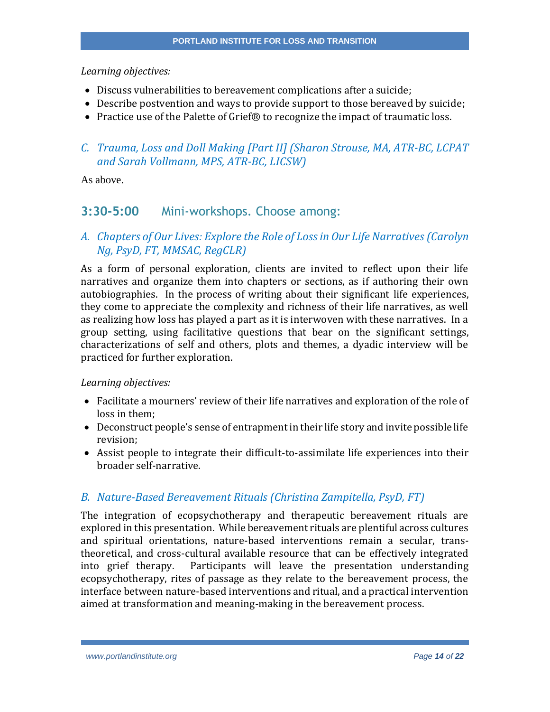- Discuss vulnerabilities to bereavement complications after a suicide;
- Describe postvention and ways to provide support to those bereaved by suicide;
- Practice use of the Palette of Grief® to recognize the impact of traumatic loss.

## *C. Trauma, Loss and Doll Making [Part II] (Sharon Strouse, MA, ATR-BC, LCPAT and Sarah Vollmann, MPS, ATR-BC, LICSW)*

As above.

## **3:30-5:00** Mini-workshops. Choose among:

## *A. Chapters of Our Lives: Explore the Role of Loss in Our Life Narratives (Carolyn Ng, PsyD, FT, MMSAC, RegCLR)*

As a form of personal exploration, clients are invited to reflect upon their life narratives and organize them into chapters or sections, as if authoring their own autobiographies. In the process of writing about their significant life experiences, they come to appreciate the complexity and richness of their life narratives, as well as realizing how loss has played a part as it is interwoven with these narratives. In a group setting, using facilitative questions that bear on the significant settings, characterizations of self and others, plots and themes, a dyadic interview will be practiced for further exploration.

#### *Learning objectives:*

- Facilitate a mourners' review of their life narratives and exploration of the role of loss in them;
- Deconstruct people's sense of entrapment in their life story and invite possible life revision;
- Assist people to integrate their difficult-to-assimilate life experiences into their broader self-narrative.

### *B. Nature-Based Bereavement Rituals (Christina Zampitella, PsyD, FT)*

The integration of ecopsychotherapy and therapeutic bereavement rituals are explored in this presentation. While bereavement rituals are plentiful across cultures and spiritual orientations, nature-based interventions remain a secular, transtheoretical, and cross-cultural available resource that can be effectively integrated into grief therapy. Participants will leave the presentation understanding ecopsychotherapy, rites of passage as they relate to the bereavement process, the interface between nature-based interventions and ritual, and a practical intervention aimed at transformation and meaning-making in the bereavement process.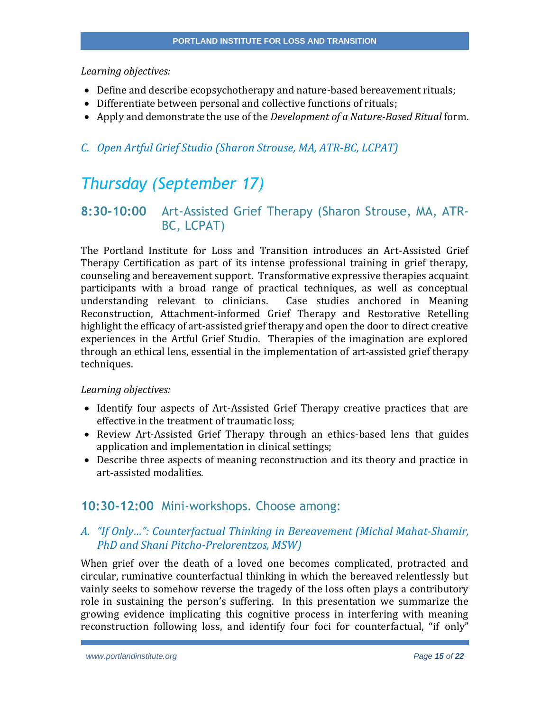- Define and describe ecopsychotherapy and nature-based bereavement rituals;
- Differentiate between personal and collective functions of rituals;
- Apply and demonstrate the use of the *Development of a Nature-Based Ritual* form.

## *C. Open Artful Grief Studio (Sharon Strouse, MA, ATR-BC, LCPAT)*

# *Thursday (September 17)*

## **8:30-10:00** Art-Assisted Grief Therapy (Sharon Strouse, MA, ATR-BC, LCPAT)

The Portland Institute for Loss and Transition introduces an Art-Assisted Grief Therapy Certification as part of its intense professional training in grief therapy, counseling and bereavement support. Transformative expressive therapies acquaint participants with a broad range of practical techniques, as well as conceptual understanding relevant to clinicians. Case studies anchored in Meaning Reconstruction, Attachment-informed Grief Therapy and Restorative Retelling highlight the efficacy of art-assisted grief therapy and open the door to direct creative experiences in the Artful Grief Studio. Therapies of the imagination are explored through an ethical lens, essential in the implementation of art-assisted grief therapy techniques.

#### *Learning objectives:*

- Identify four aspects of Art-Assisted Grief Therapy creative practices that are effective in the treatment of traumatic loss;
- Review Art-Assisted Grief Therapy through an ethics-based lens that guides application and implementation in clinical settings;
- Describe three aspects of meaning reconstruction and its theory and practice in art-assisted modalities.

## **10:30-12:00** Mini-workshops. Choose among:

## *A. "If Only…": Counterfactual Thinking in Bereavement (Michal Mahat-Shamir, PhD and Shani Pitcho-Prelorentzos, MSW)*

When grief over the death of a loved one becomes complicated, protracted and circular, ruminative counterfactual thinking in which the bereaved relentlessly but vainly seeks to somehow reverse the tragedy of the loss often plays a contributory role in sustaining the person's suffering. In this presentation we summarize the growing evidence implicating this cognitive process in interfering with meaning reconstruction following loss, and identify four foci for counterfactual, "if only"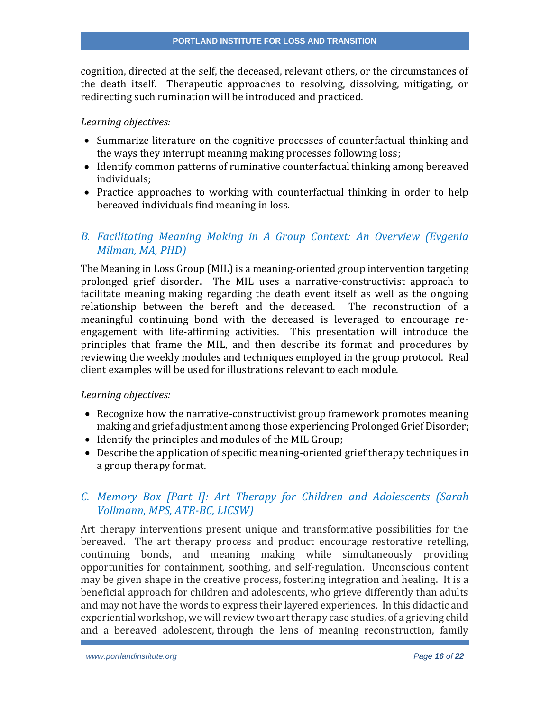cognition, directed at the self, the deceased, relevant others, or the circumstances of the death itself. Therapeutic approaches to resolving, dissolving, mitigating, or redirecting such rumination will be introduced and practiced.

#### *Learning objectives:*

- Summarize literature on the cognitive processes of counterfactual thinking and the ways they interrupt meaning making processes following loss;
- Identify common patterns of ruminative counterfactual thinking among bereaved individuals;
- Practice approaches to working with counterfactual thinking in order to help bereaved individuals find meaning in loss.

## *B. Facilitating Meaning Making in A Group Context: An Overview (Evgenia Milman, MA, PHD)*

The Meaning in Loss Group (MIL) is a meaning-oriented group intervention targeting prolonged grief disorder. The MIL uses a narrative-constructivist approach to facilitate meaning making regarding the death event itself as well as the ongoing relationship between the bereft and the deceased. The reconstruction of a meaningful continuing bond with the deceased is leveraged to encourage reengagement with life-affirming activities. This presentation will introduce the principles that frame the MIL, and then describe its format and procedures by reviewing the weekly modules and techniques employed in the group protocol. Real client examples will be used for illustrations relevant to each module.

#### *Learning objectives:*

- Recognize how the narrative-constructivist group framework promotes meaning making and grief adjustment among those experiencing Prolonged Grief Disorder;
- Identify the principles and modules of the MIL Group;
- Describe the application of specific meaning-oriented grief therapy techniques in a group therapy format.

## *C. Memory Box [Part I]: Art Therapy for Children and Adolescents (Sarah Vollmann, MPS, ATR-BC, LICSW)*

Art therapy interventions present unique and transformative possibilities for the bereaved. The art therapy process and product encourage restorative retelling, continuing bonds, and meaning making while simultaneously providing opportunities for containment, soothing, and self-regulation. Unconscious content may be given shape in the creative process, fostering integration and healing. It is a beneficial approach for children and adolescents, who grieve differently than adults and may not have the words to express their layered experiences. In this didactic and experiential workshop, we will review two art therapy case studies, of a grieving child and a bereaved adolescent, through the lens of meaning reconstruction, family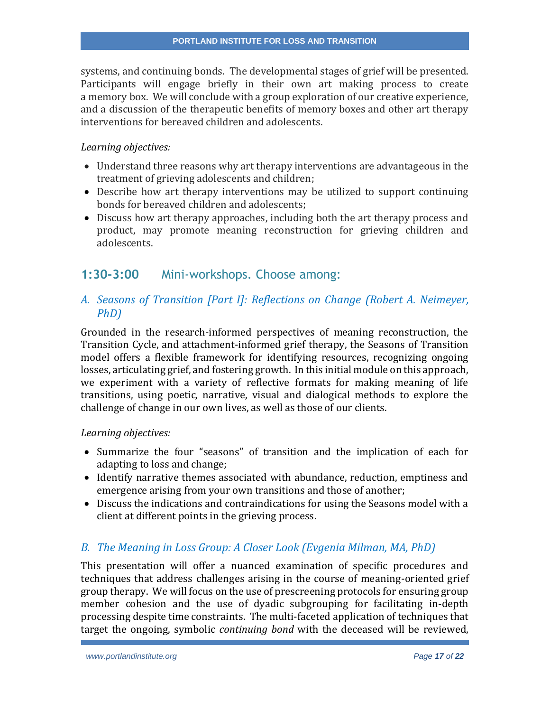systems, and continuing bonds. The developmental stages of grief will be presented. Participants will engage briefly in their own art making process to create a memory box. We will conclude with a group exploration of our creative experience, and a discussion of the therapeutic benefits of memory boxes and other art therapy interventions for bereaved children and adolescents.

#### *Learning objectives:*

- Understand three reasons why art therapy interventions are advantageous in the treatment of grieving adolescents and children;
- Describe how art therapy interventions may be utilized to support continuing bonds for bereaved children and adolescents;
- Discuss how art therapy approaches, including both the art therapy process and product, may promote meaning reconstruction for grieving children and adolescents.

## **1:30-3:00** Mini-workshops. Choose among:

## *A. Seasons of Transition [Part I]: Reflections on Change (Robert A. Neimeyer, PhD)*

Grounded in the research-informed perspectives of meaning reconstruction, the Transition Cycle, and attachment-informed grief therapy, the Seasons of Transition model offers a flexible framework for identifying resources, recognizing ongoing losses, articulating grief, and fostering growth. In this initial module on this approach, we experiment with a variety of reflective formats for making meaning of life transitions, using poetic, narrative, visual and dialogical methods to explore the challenge of change in our own lives, as well as those of our clients.

#### *Learning objectives:*

- Summarize the four "seasons" of transition and the implication of each for adapting to loss and change;
- Identify narrative themes associated with abundance, reduction, emptiness and emergence arising from your own transitions and those of another;
- Discuss the indications and contraindications for using the Seasons model with a client at different points in the grieving process.

### *B. The Meaning in Loss Group: A Closer Look (Evgenia Milman, MA, PhD)*

This presentation will offer a nuanced examination of specific procedures and techniques that address challenges arising in the course of meaning-oriented grief group therapy. We will focus on the use of prescreening protocols for ensuring group member cohesion and the use of dyadic subgrouping for facilitating in-depth processing despite time constraints. The multi-faceted application of techniques that target the ongoing, symbolic *continuing bond* with the deceased will be reviewed,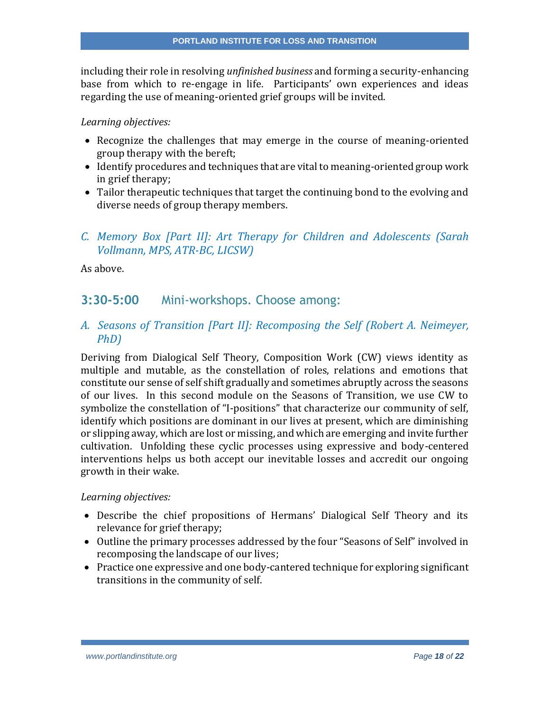including their role in resolving *unfinished business* and forming a security-enhancing base from which to re-engage in life. Participants' own experiences and ideas regarding the use of meaning-oriented grief groups will be invited.

#### *Learning objectives:*

- Recognize the challenges that may emerge in the course of meaning-oriented group therapy with the bereft;
- Identify procedures and techniques that are vital to meaning-oriented group work in grief therapy;
- Tailor therapeutic techniques that target the continuing bond to the evolving and diverse needs of group therapy members.

## *C. Memory Box [Part II]: Art Therapy for Children and Adolescents (Sarah Vollmann, MPS, ATR-BC, LICSW)*

As above.

## **3:30-5:00** Mini-workshops. Choose among:

*A. Seasons of Transition [Part II]: Recomposing the Self (Robert A. Neimeyer, PhD)*

Deriving from Dialogical Self Theory, Composition Work (CW) views identity as multiple and mutable, as the constellation of roles, relations and emotions that constitute our sense of self shift gradually and sometimes abruptly across the seasons of our lives. In this second module on the Seasons of Transition, we use CW to symbolize the constellation of "I-positions" that characterize our community of self, identify which positions are dominant in our lives at present, which are diminishing or slipping away, which are lost or missing, and which are emerging and invite further cultivation. Unfolding these cyclic processes using expressive and body-centered interventions helps us both accept our inevitable losses and accredit our ongoing growth in their wake.

- Describe the chief propositions of Hermans' Dialogical Self Theory and its relevance for grief therapy;
- Outline the primary processes addressed by the four "Seasons of Self" involved in recomposing the landscape of our lives;
- Practice one expressive and one body-cantered technique for exploring significant transitions in the community of self.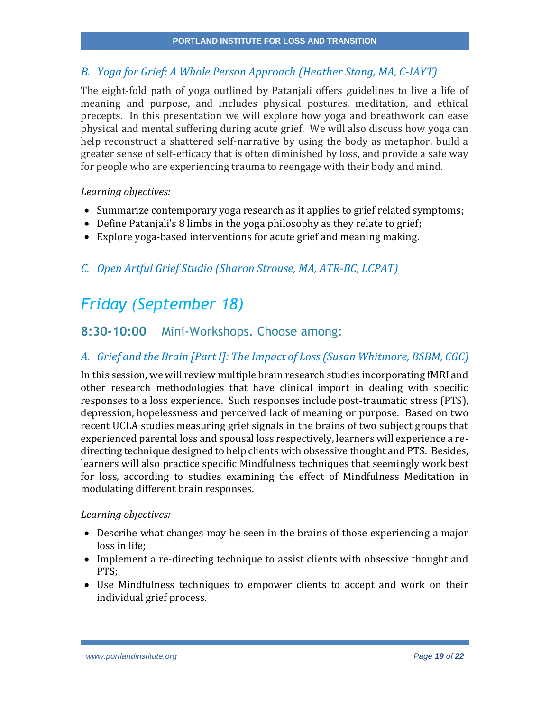## *B. Yoga for Grief: A Whole Person Approach (Heather Stang, MA, C-IAYT)*

The eight-fold path of yoga outlined by Patanjali offers guidelines to live a life of meaning and purpose, and includes physical postures, meditation, and ethical precepts. In this presentation we will explore how yoga and breathwork can ease physical and mental suffering during acute grief. We will also discuss how yoga can help reconstruct a shattered self-narrative by using the body as metaphor, build a greater sense of self-efficacy that is often diminished by loss, and provide a safe way for people who are experiencing trauma to reengage with their body and mind.

#### *Learning objectives:*

- Summarize contemporary yoga research as it applies to grief related symptoms;
- Define Patanjali's 8 limbs in the yoga philosophy as they relate to grief;
- Explore yoga-based interventions for acute grief and meaning making.

## *C. Open Artful Grief Studio (Sharon Strouse, MA, ATR-BC, LCPAT)*

# *Friday (September 18)*

## **8:30-10:00** Mini-Workshops. Choose among:

### *A. Grief and the Brain [Part I]: The Impact of Loss (Susan Whitmore, BSBM, CGC)*

In this session, we will review multiple brain research studies incorporating fMRI and other research methodologies that have clinical import in dealing with specific responses to a loss experience. Such responses include post-traumatic stress (PTS), depression, hopelessness and perceived lack of meaning or purpose. Based on two recent UCLA studies measuring grief signals in the brains of two subject groups that experienced parental loss and spousal loss respectively, learners will experience a redirecting technique designed to help clients with obsessive thought and PTS. Besides, learners will also practice specific Mindfulness techniques that seemingly work best for loss, according to studies examining the effect of Mindfulness Meditation in modulating different brain responses.

- Describe what changes may be seen in the brains of those experiencing a major loss in life;
- Implement a re-directing technique to assist clients with obsessive thought and PTS;
- Use Mindfulness techniques to empower clients to accept and work on their individual grief process.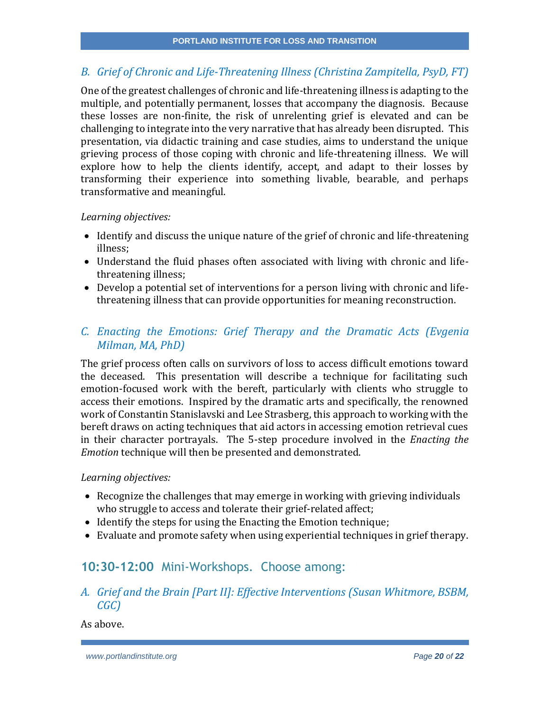## *B. Grief of Chronic and Life-Threatening Illness (Christina Zampitella, PsyD, FT)*

One of the greatest challenges of chronic and life-threatening illness is adapting to the multiple, and potentially permanent, losses that accompany the diagnosis. Because these losses are non-finite, the risk of unrelenting grief is elevated and can be challenging to integrate into the very narrative that has already been disrupted. This presentation, via didactic training and case studies, aims to understand the unique grieving process of those coping with chronic and life-threatening illness. We will explore how to help the clients identify, accept, and adapt to their losses by transforming their experience into something livable, bearable, and perhaps transformative and meaningful.

#### *Learning objectives:*

- Identify and discuss the unique nature of the grief of chronic and life-threatening illness;
- Understand the fluid phases often associated with living with chronic and lifethreatening illness;
- Develop a potential set of interventions for a person living with chronic and lifethreatening illness that can provide opportunities for meaning reconstruction.

## *C. Enacting the Emotions: Grief Therapy and the Dramatic Acts (Evgenia Milman, MA, PhD)*

The grief process often calls on survivors of loss to access difficult emotions toward the deceased. This presentation will describe a technique for facilitating such emotion-focused work with the bereft, particularly with clients who struggle to access their emotions. Inspired by the dramatic arts and specifically, the renowned work of Constantin Stanislavski and Lee Strasberg, this approach to working with the bereft draws on acting techniques that aid actors in accessing emotion retrieval cues in their character portrayals. The 5-step procedure involved in the *Enacting the Emotion* technique will then be presented and demonstrated.

#### *Learning objectives:*

- Recognize the challenges that may emerge in working with grieving individuals who struggle to access and tolerate their grief-related affect;
- Identify the steps for using the Enacting the Emotion technique;
- Evaluate and promote safety when using experiential techniques in grief therapy.

## **10:30-12:00** Mini-Workshops. Choose among:

*A. Grief and the Brain [Part II]: Effective Interventions (Susan Whitmore, BSBM, CGC)*

As above.

*www.portlandinstitute.org Page 20 of 22*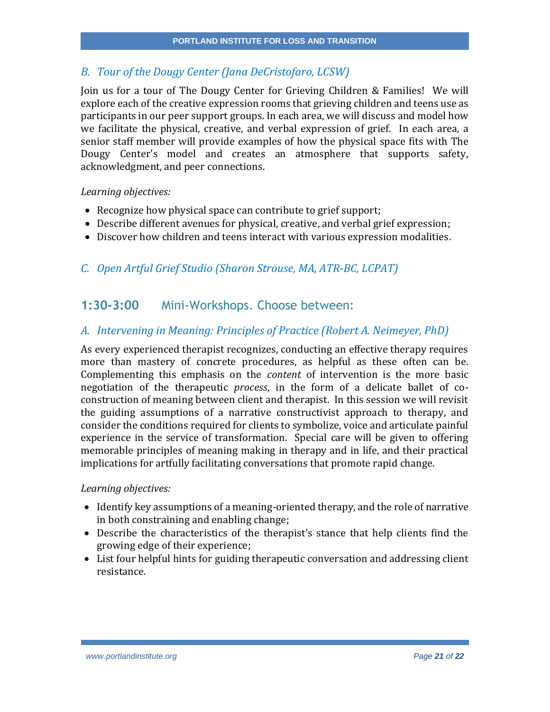## *B. Tour of the Dougy Center (Jana DeCristofaro, LCSW)*

Join us for a tour of The Dougy Center for Grieving Children & Families! We will explore each of the creative expression rooms that grieving children and teens use as participants in our peer support groups. In each area, we will discuss and model how we facilitate the physical, creative, and verbal expression of grief. In each area, a senior staff member will provide examples of how the physical space fits with The Dougy Center's model and creates an atmosphere that supports safety, acknowledgment, and peer connections.

#### *Learning objectives:*

- Recognize how physical space can contribute to grief support;
- Describe different avenues for physical, creative, and verbal grief expression;
- Discover how children and teens interact with various expression modalities.

## *C. Open Artful Grief Studio (Sharon Strouse, MA, ATR-BC, LCPAT)*

## **1:30-3:00** Mini-Workshops. Choose between:

### *A. Intervening in Meaning: Principles of Practice (Robert A. Neimeyer, PhD)*

As every experienced therapist recognizes, conducting an effective therapy requires more than mastery of concrete procedures, as helpful as these often can be. Complementing this emphasis on the *content* of intervention is the more basic negotiation of the therapeutic *process*, in the form of a delicate ballet of coconstruction of meaning between client and therapist. In this session we will revisit the guiding assumptions of a narrative constructivist approach to therapy, and consider the conditions required for clients to symbolize, voice and articulate painful experience in the service of transformation. Special care will be given to offering memorable principles of meaning making in therapy and in life, and their practical implications for artfully facilitating conversations that promote rapid change.

- Identify key assumptions of a meaning-oriented therapy, and the role of narrative in both constraining and enabling change;
- Describe the characteristics of the therapist's stance that help clients find the growing edge of their experience;
- List four helpful hints for guiding therapeutic conversation and addressing client resistance.